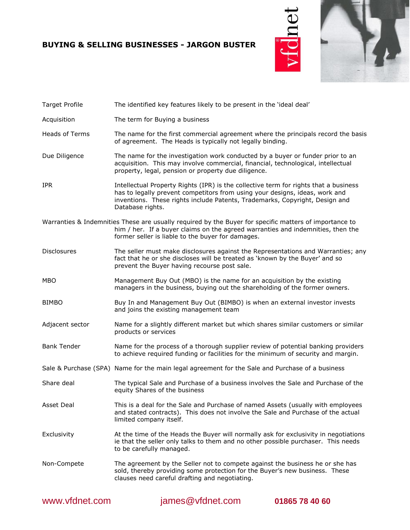# **BUYING & SELLING BUSINESSES - JARGON BUSTER**





| <b>Target Profile</b> | The identified key features likely to be present in the 'ideal deal'                                                                                                                                                                                                   |
|-----------------------|------------------------------------------------------------------------------------------------------------------------------------------------------------------------------------------------------------------------------------------------------------------------|
| Acquisition           | The term for Buying a business                                                                                                                                                                                                                                         |
| <b>Heads of Terms</b> | The name for the first commercial agreement where the principals record the basis<br>of agreement. The Heads is typically not legally binding.                                                                                                                         |
| Due Diligence         | The name for the investigation work conducted by a buyer or funder prior to an<br>acquisition. This may involve commercial, financial, technological, intellectual<br>property, legal, pension or property due diligence.                                              |
| <b>IPR</b>            | Intellectual Property Rights (IPR) is the collective term for rights that a business<br>has to legally prevent competitors from using your designs, ideas, work and<br>inventions. These rights include Patents, Trademarks, Copyright, Design and<br>Database rights. |
|                       | Warranties & Indemnities These are usually required by the Buyer for specific matters of importance to<br>him / her. If a buyer claims on the agreed warranties and indemnities, then the<br>former seller is liable to the buyer for damages.                         |
| <b>Disclosures</b>    | The seller must make disclosures against the Representations and Warranties; any<br>fact that he or she discloses will be treated as 'known by the Buyer' and so<br>prevent the Buyer having recourse post sale.                                                       |
| <b>MBO</b>            | Management Buy Out (MBO) is the name for an acquisition by the existing<br>managers in the business, buying out the shareholding of the former owners.                                                                                                                 |
| <b>BIMBO</b>          | Buy In and Management Buy Out (BIMBO) is when an external investor invests<br>and joins the existing management team                                                                                                                                                   |
| Adjacent sector       | Name for a slightly different market but which shares similar customers or similar<br>products or services                                                                                                                                                             |
| <b>Bank Tender</b>    | Name for the process of a thorough supplier review of potential banking providers<br>to achieve required funding or facilities for the minimum of security and margin.                                                                                                 |
|                       | Sale & Purchase (SPA) Name for the main legal agreement for the Sale and Purchase of a business                                                                                                                                                                        |
| Share deal            | The typical Sale and Purchase of a business involves the Sale and Purchase of the<br>equity Shares of the business                                                                                                                                                     |
| Asset Deal            | This is a deal for the Sale and Purchase of named Assets (usually with employees<br>and stated contracts). This does not involve the Sale and Purchase of the actual<br>limited company itself.                                                                        |
| Exclusivity           | At the time of the Heads the Buyer will normally ask for exclusivity in negotiations<br>ie that the seller only talks to them and no other possible purchaser. This needs<br>to be carefully managed.                                                                  |
| Non-Compete           | The agreement by the Seller not to compete against the business he or she has<br>sold, thereby providing some protection for the Buyer's new business. These<br>clauses need careful drafting and negotiating.                                                         |

www.vfdnet.com [james@vfdnet.com](mailto:james@vfdnet.com) **01865 78 40 60**